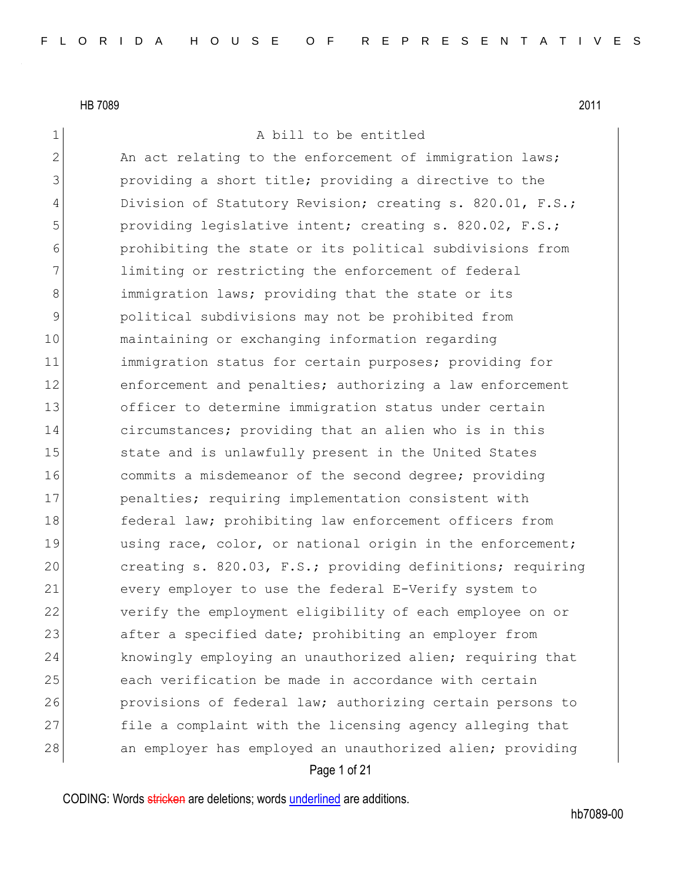1 A bill to be entitled

Page 1 of 21 2 An act relating to the enforcement of immigration laws; 3 3 providing a short title; providing a directive to the 4 Division of Statutory Revision; creating s. 820.01, F.S.; 5 **providing legislative intent; creating s. 820.02, F.S.;** 6 prohibiting the state or its political subdivisions from 7 1imiting or restricting the enforcement of federal 8 3 8 immigration laws; providing that the state or its 9 political subdivisions may not be prohibited from 10 maintaining or exchanging information regarding 11 immigration status for certain purposes; providing for 12 enforcement and penalties; authorizing a law enforcement 13 officer to determine immigration status under certain 14 circumstances; providing that an alien who is in this 15 State and is unlawfully present in the United States 16 commits a misdemeanor of the second degree; providing 17 penalties; requiring implementation consistent with 18 federal law; prohibiting law enforcement officers from 19 using race, color, or national origin in the enforcement; 20 creating s. 820.03, F.S.; providing definitions; requiring 21 every employer to use the federal E-Verify system to 22 verify the employment eligibility of each employee on or 23 after a specified date; prohibiting an employer from 24 knowingly employing an unauthorized alien; requiring that 25 each verification be made in accordance with certain 26 provisions of federal law; authorizing certain persons to 27 file a complaint with the licensing agency alleging that 28 an employer has employed an unauthorized alien; providing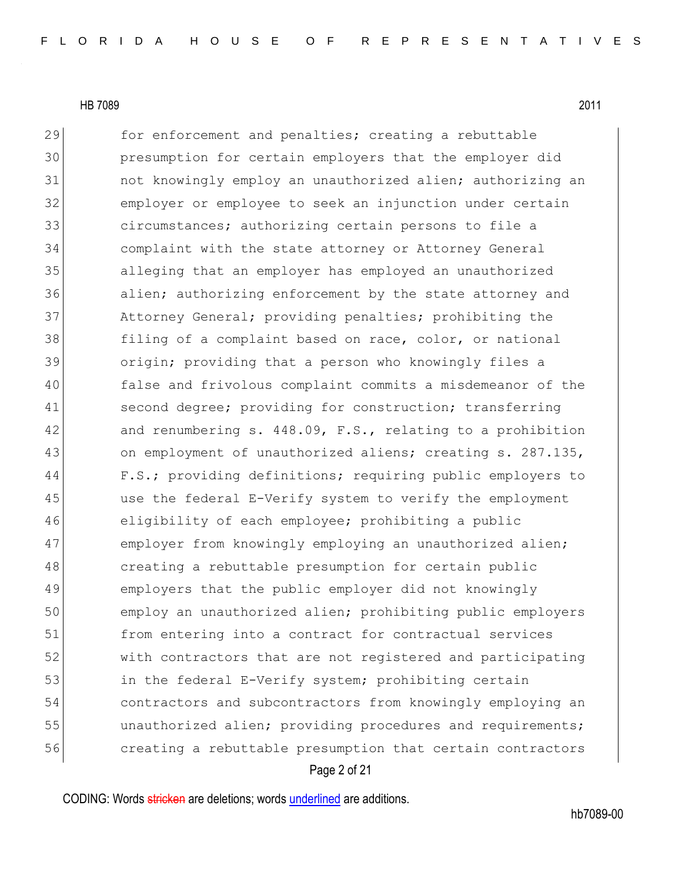Page 2 of 21 29 for enforcement and penalties; creating a rebuttable 30 presumption for certain employers that the employer did 31 and the wingly employ an unauthorized alien; authorizing an 32 employer or employee to seek an injunction under certain 33 31 circumstances; authorizing certain persons to file a 34 complaint with the state attorney or Attorney General 35 alleging that an employer has employed an unauthorized 36 alien; authorizing enforcement by the state attorney and 37 Attorney General; providing penalties; prohibiting the 38 filing of a complaint based on race, color, or national 39 origin; providing that a person who knowingly files a 40 false and frivolous complaint commits a misdemeanor of the 41 second degree; providing for construction; transferring 42 and renumbering s. 448.09, F.S., relating to a prohibition 43 on employment of unauthorized aliens; creating s. 287.135, 44 F.S.; providing definitions; requiring public employers to 45 use the federal E-Verify system to verify the employment 46 eligibility of each employee; prohibiting a public 47 employer from knowingly employing an unauthorized alien; 48 creating a rebuttable presumption for certain public 49 employers that the public employer did not knowingly 50 employ an unauthorized alien; prohibiting public employers 51 from entering into a contract for contractual services 52 with contractors that are not registered and participating 53 in the federal E-Verify system; prohibiting certain 54 contractors and subcontractors from knowingly employing an 55 **unauthorized alien;** providing procedures and requirements; 56 creating a rebuttable presumption that certain contractors

CODING: Words stricken are deletions; words underlined are additions.

hb7089-00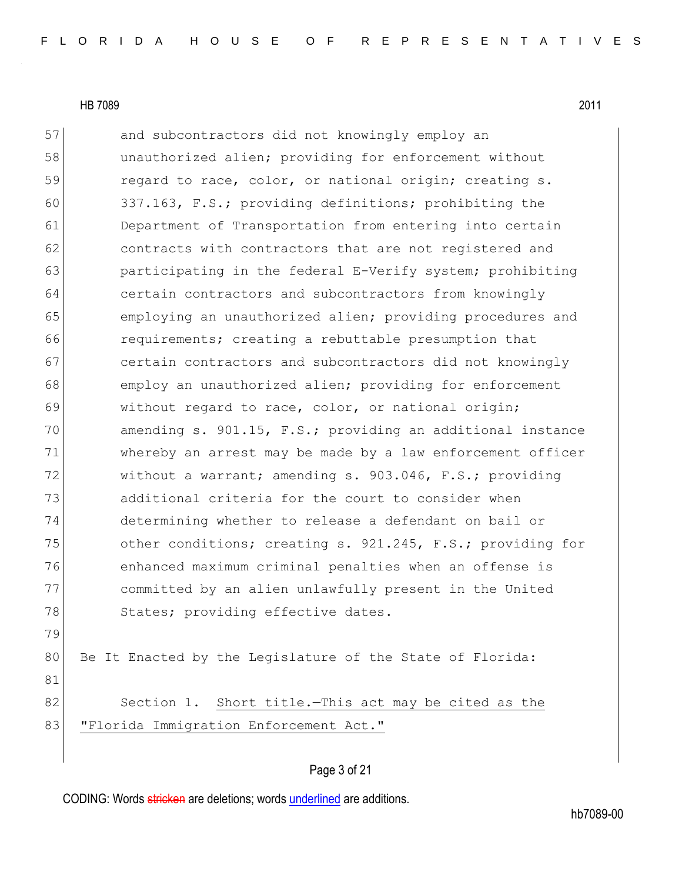79

81

57 and subcontractors did not knowingly employ an 58 unauthorized alien; providing for enforcement without 59 regard to race, color, or national origin; creating s. 60 337.163, F.S.; providing definitions; prohibiting the 61 Department of Transportation from entering into certain 62 contracts with contractors that are not registered and 63 participating in the federal E-Verify system; prohibiting 64 certain contractors and subcontractors from knowingly 65 employing an unauthorized alien; providing procedures and 66 **requirements;** creating a rebuttable presumption that 67 certain contractors and subcontractors did not knowingly 68 employ an unauthorized alien; providing for enforcement 69 without regard to race, color, or national origin; 70 amending s. 901.15, F.S.; providing an additional instance 71 whereby an arrest may be made by a law enforcement officer 72 without a warrant; amending s. 903.046, F.S.; providing 73 additional criteria for the court to consider when 74 determining whether to release a defendant on bail or 75 other conditions; creating s. 921.245, F.S.; providing for 76 enhanced maximum criminal penalties when an offense is 77 committed by an alien unlawfully present in the United 78 States; providing effective dates. 80 Be It Enacted by the Legislature of the State of Florida:

82 Section 1. Short title.—This act may be cited as the 83 | "Florida Immigration Enforcement Act."

### Page 3 of 21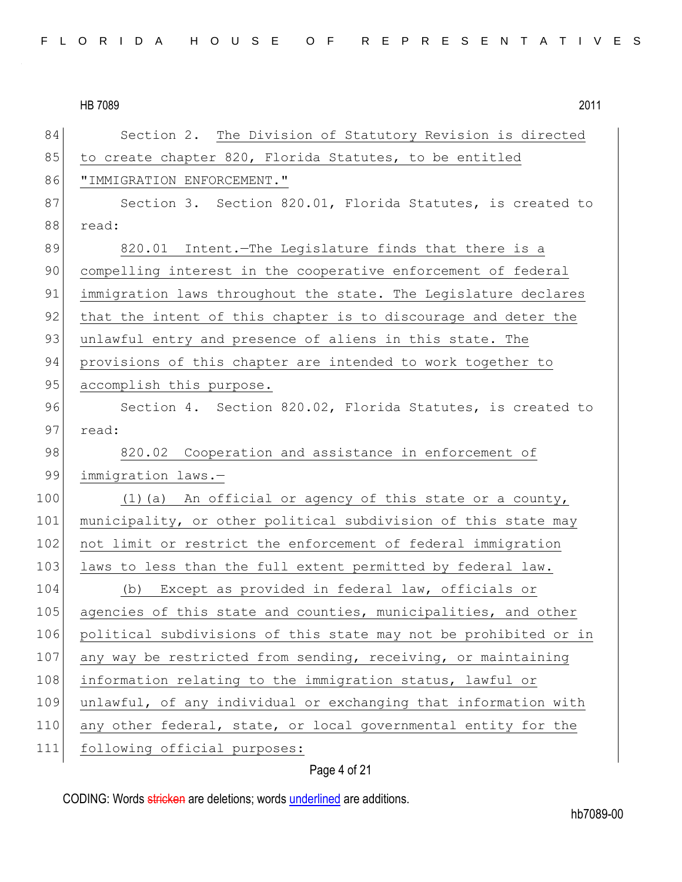| 84  | Section 2. The Division of Statutory Revision is directed        |
|-----|------------------------------------------------------------------|
| 85  | to create chapter 820, Florida Statutes, to be entitled          |
| 86  | "IMMIGRATION ENFORCEMENT."                                       |
| 87  | Section 3. Section 820.01, Florida Statutes, is created to       |
| 88  | read:                                                            |
| 89  | 820.01 Intent. The Legislature finds that there is a             |
| 90  | compelling interest in the cooperative enforcement of federal    |
| 91  | immigration laws throughout the state. The Legislature declares  |
| 92  | that the intent of this chapter is to discourage and deter the   |
| 93  | unlawful entry and presence of aliens in this state. The         |
| 94  | provisions of this chapter are intended to work together to      |
| 95  | accomplish this purpose.                                         |
| 96  | Section 4. Section 820.02, Florida Statutes, is created to       |
| 97  | read:                                                            |
| 98  | 820.02 Cooperation and assistance in enforcement of              |
| 99  | immigration laws.-                                               |
| 100 | (1) (a) An official or agency of this state or a county,         |
| 101 | municipality, or other political subdivision of this state may   |
| 102 | not limit or restrict the enforcement of federal immigration     |
| 103 | laws to less than the full extent permitted by federal law.      |
| 104 | (b) Except as provided in federal law, officials or              |
| 105 | agencies of this state and counties, municipalities, and other   |
| 106 | political subdivisions of this state may not be prohibited or in |
| 107 | any way be restricted from sending, receiving, or maintaining    |
| 108 | information relating to the immigration status, lawful or        |
| 109 | unlawful, of any individual or exchanging that information with  |
| 110 | any other federal, state, or local governmental entity for the   |
| 111 | following official purposes:                                     |

## Page 4 of 21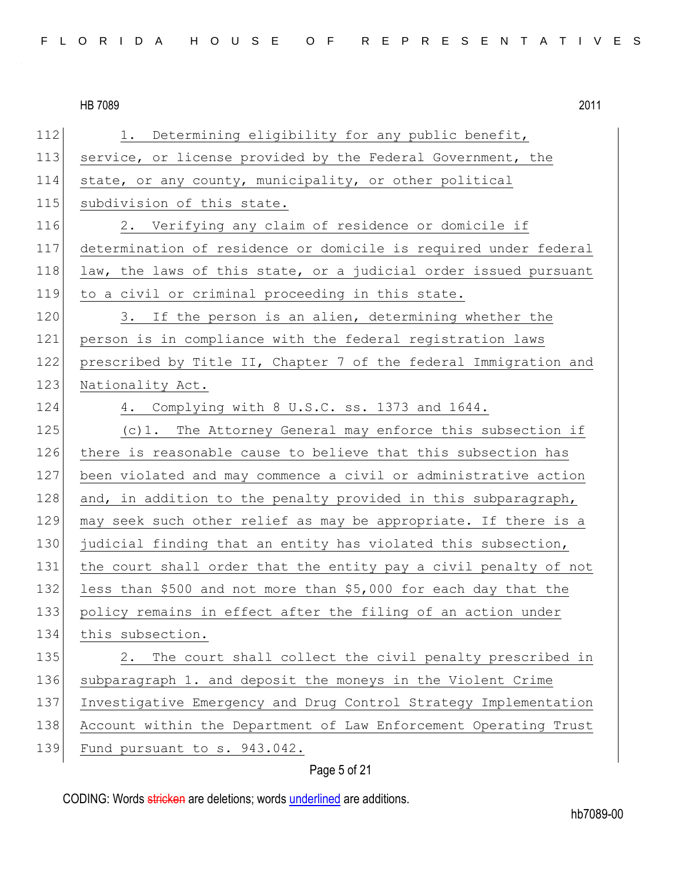112 1. Determining eligibility for any public benefit, 113 service, or license provided by the Federal Government, the 114 state, or any county, municipality, or other political 115 subdivision of this state. 116 2. Verifying any claim of residence or domicile if 117 determination of residence or domicile is required under federal 118 law, the laws of this state, or a judicial order issued pursuant 119 to a civil or criminal proceeding in this state. 120 3. If the person is an alien, determining whether the 121 person is in compliance with the federal registration laws 122 prescribed by Title II, Chapter 7 of the federal Immigration and 123 Nationality Act. 124 4. Complying with 8 U.S.C. ss. 1373 and 1644. 125 (c)1. The Attorney General may enforce this subsection if 126 there is reasonable cause to believe that this subsection has 127 been violated and may commence a civil or administrative action 128 and, in addition to the penalty provided in this subparagraph, 129 may seek such other relief as may be appropriate. If there is a 130 judicial finding that an entity has violated this subsection, 131 the court shall order that the entity pay a civil penalty of not 132 less than \$500 and not more than \$5,000 for each day that the 133 policy remains in effect after the filing of an action under 134 this subsection. 135 2. The court shall collect the civil penalty prescribed in 136 subparagraph 1. and deposit the moneys in the Violent Crime 137 Investigative Emergency and Drug Control Strategy Implementation 138 Account within the Department of Law Enforcement Operating Trust 139 Fund pursuant to s. 943.042.

Page 5 of 21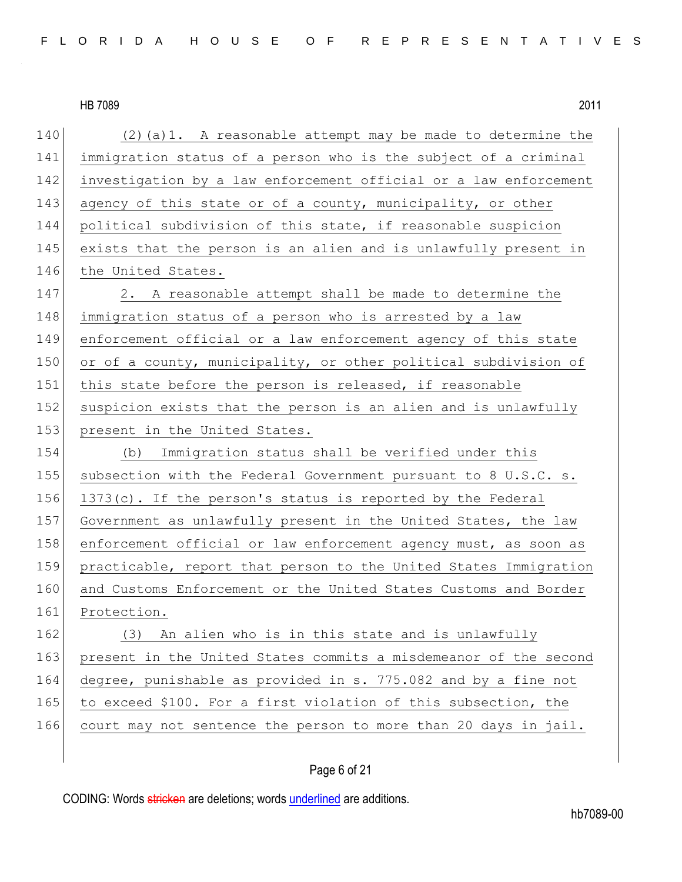| 140 | $(2)$ (a) 1. A reasonable attempt may be made to determine the   |
|-----|------------------------------------------------------------------|
| 141 | immigration status of a person who is the subject of a criminal  |
| 142 | investigation by a law enforcement official or a law enforcement |
| 143 | agency of this state or of a county, municipality, or other      |
| 144 | political subdivision of this state, if reasonable suspicion     |
| 145 | exists that the person is an alien and is unlawfully present in  |
| 146 | the United States.                                               |
| 147 | 2. A reasonable attempt shall be made to determine the           |
| 148 | immigration status of a person who is arrested by a law          |
| 149 | enforcement official or a law enforcement agency of this state   |
| 150 | or of a county, municipality, or other political subdivision of  |
| 151 | this state before the person is released, if reasonable          |
| 152 | suspicion exists that the person is an alien and is unlawfully   |
| 153 | present in the United States.                                    |
| 154 | (b) Immigration status shall be verified under this              |
| 155 | subsection with the Federal Government pursuant to 8 U.S.C. s.   |
| 156 | 1373(c). If the person's status is reported by the Federal       |
| 157 | Government as unlawfully present in the United States, the law   |
| 158 | enforcement official or law enforcement agency must, as soon as  |
| 159 | practicable, report that person to the United States Immigration |
| 160 | and Customs Enforcement or the United States Customs and Border  |
| 161 | Protection.                                                      |
| 162 | (3) An alien who is in this state and is unlawfully              |
| 163 | present in the United States commits a misdemeanor of the second |
| 164 | degree, punishable as provided in s. 775.082 and by a fine not   |
| 165 | to exceed \$100. For a first violation of this subsection, the   |
| 166 | court may not sentence the person to more than 20 days in jail.  |
|     |                                                                  |

## Page 6 of 21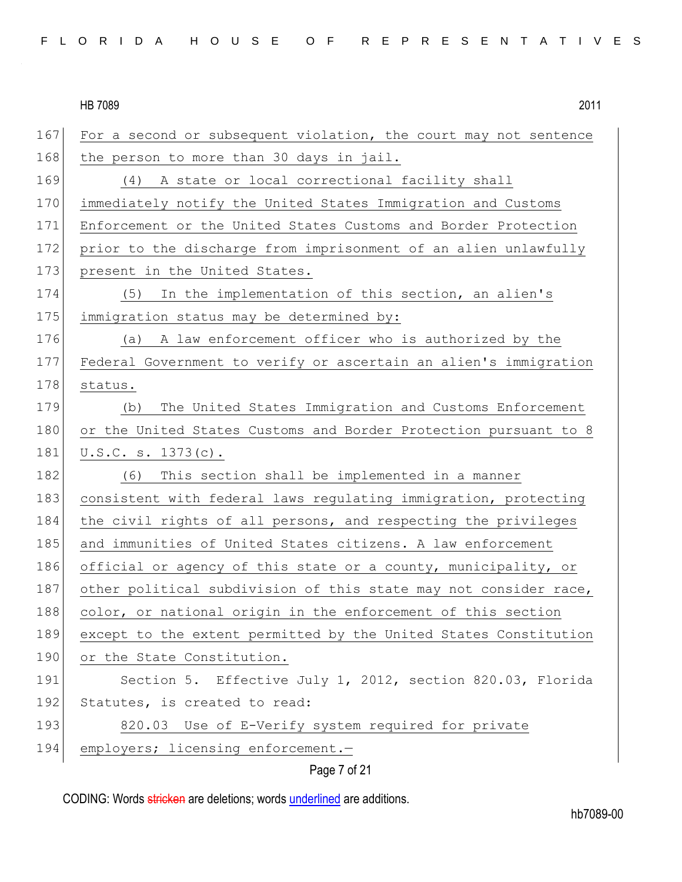| 167 | For a second or subsequent violation, the court may not sentence |
|-----|------------------------------------------------------------------|
| 168 | the person to more than 30 days in jail.                         |
| 169 | (4) A state or local correctional facility shall                 |
| 170 | immediately notify the United States Immigration and Customs     |
| 171 | Enforcement or the United States Customs and Border Protection   |
| 172 | prior to the discharge from imprisonment of an alien unlawfully  |
| 173 | present in the United States.                                    |
| 174 | In the implementation of this section, an alien's<br>(5)         |
| 175 | immigration status may be determined by:                         |
| 176 | (a) A law enforcement officer who is authorized by the           |
| 177 | Federal Government to verify or ascertain an alien's immigration |
| 178 | status.                                                          |
| 179 | The United States Immigration and Customs Enforcement<br>(b)     |
| 180 | or the United States Customs and Border Protection pursuant to 8 |
| 181 | U.S.C. s. 1373(c).                                               |
| 182 | This section shall be implemented in a manner<br>(6)             |
| 183 | consistent with federal laws regulating immigration, protecting  |
| 184 | the civil rights of all persons, and respecting the privileges   |
| 185 | and immunities of United States citizens. A law enforcement      |
| 186 | official or agency of this state or a county, municipality, or   |
| 187 | other political subdivision of this state may not consider race, |
| 188 | color, or national origin in the enforcement of this section     |
| 189 | except to the extent permitted by the United States Constitution |
| 190 | or the State Constitution.                                       |
| 191 | Section 5. Effective July 1, 2012, section 820.03, Florida       |
| 192 | Statutes, is created to read:                                    |
| 193 | 820.03 Use of E-Verify system required for private               |
| 194 | employers; licensing enforcement.-                               |
|     |                                                                  |

Page 7 of 21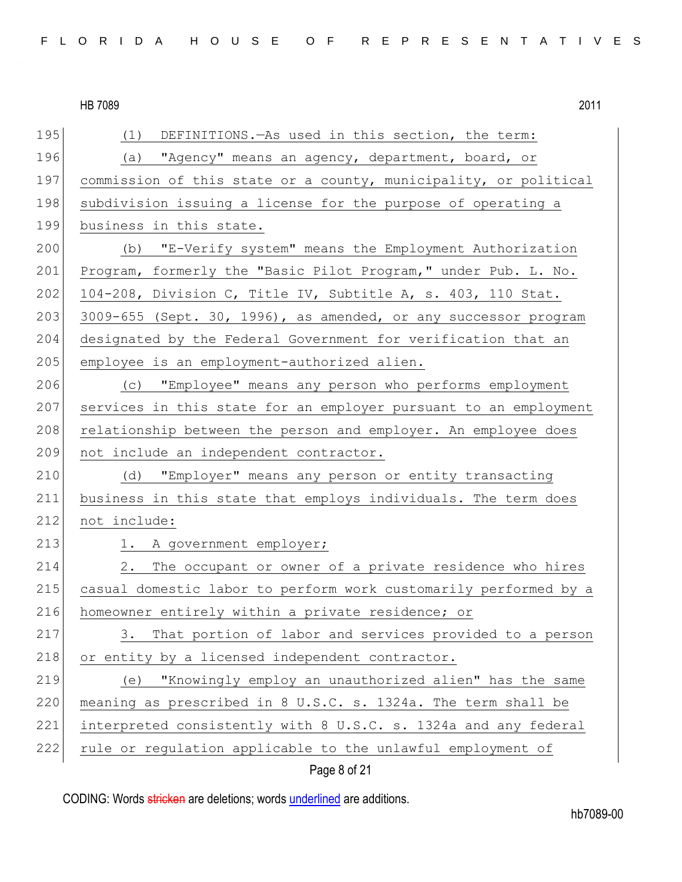| 195 | (1)<br>DEFINITIONS. - As used in this section, the term:         |
|-----|------------------------------------------------------------------|
| 196 | (a) "Agency" means an agency, department, board, or              |
| 197 | commission of this state or a county, municipality, or political |
| 198 | subdivision issuing a license for the purpose of operating a     |
| 199 | business in this state.                                          |
| 200 | (b) "E-Verify system" means the Employment Authorization         |
| 201 | Program, formerly the "Basic Pilot Program," under Pub. L. No.   |
| 202 | 104-208, Division C, Title IV, Subtitle A, s. 403, 110 Stat.     |
| 203 | 3009-655 (Sept. 30, 1996), as amended, or any successor program  |
| 204 | designated by the Federal Government for verification that an    |
| 205 | employee is an employment-authorized alien.                      |
| 206 | "Employee" means any person who performs employment<br>(C)       |
| 207 | services in this state for an employer pursuant to an employment |
| 208 | relationship between the person and employer. An employee does   |
| 209 | not include an independent contractor.                           |
| 210 | (d) "Employer" means any person or entity transacting            |
| 211 | business in this state that employs individuals. The term does   |
| 212 | not include:                                                     |
| 213 | 1. A government employer;                                        |
| 214 | 2.<br>The occupant or owner of a private residence who hires     |
| 215 | casual domestic labor to perform work customarily performed by a |
| 216 | homeowner entirely within a private residence; or                |
| 217 | That portion of labor and services provided to a person<br>3.    |
| 218 | or entity by a licensed independent contractor.                  |
| 219 | "Knowingly employ an unauthorized alien" has the same<br>(e)     |
| 220 | meaning as prescribed in 8 U.S.C. s. 1324a. The term shall be    |
| 221 | interpreted consistently with 8 U.S.C. s. 1324a and any federal  |
| 222 | rule or regulation applicable to the unlawful employment of      |
|     |                                                                  |

Page 8 of 21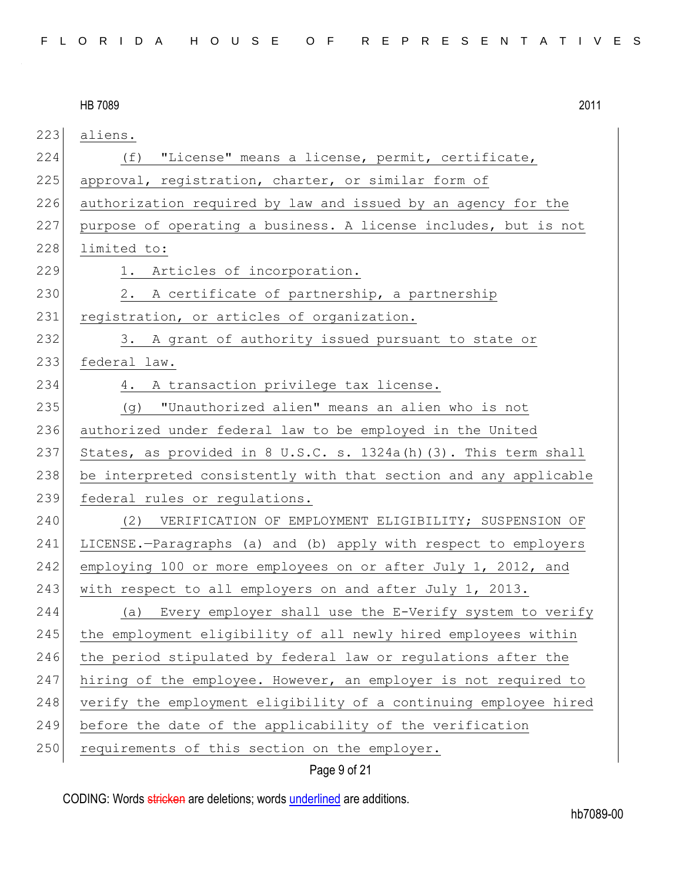HB 7089 2011 223 aliens. 224 (f) "License" means a license, permit, certificate, 225 approval, registration, charter, or similar form of 226 authorization required by law and issued by an agency for the 227 purpose of operating a business. A license includes, but is not 228 limited to: 229 1. Articles of incorporation. 230 2. A certificate of partnership, a partnership 231 registration, or articles of organization. 232 3. A grant of authority issued pursuant to state or 233 federal law. 234 4. A transaction privilege tax license. 235 (g) "Unauthorized alien" means an alien who is not 236 authorized under federal law to be employed in the United 237 States, as provided in 8 U.S.C. s. 1324a(h)(3). This term shall 238 be interpreted consistently with that section and any applicable 239 federal rules or regulations. 240 (2) VERIFICATION OF EMPLOYMENT ELIGIBILITY; SUSPENSION OF 241 LICENSE.—Paragraphs (a) and (b) apply with respect to employers 242 employing 100 or more employees on or after July 1, 2012, and 243 with respect to all employers on and after July 1, 2013. 244 (a) Every employer shall use the E-Verify system to verify 245 | the employment eligibility of all newly hired employees within 246 the period stipulated by federal law or regulations after the 247 hiring of the employee. However, an employer is not required to 248 verify the employment eligibility of a continuing employee hired 249 before the date of the applicability of the verification 250 requirements of this section on the employer.

#### Page 9 of 21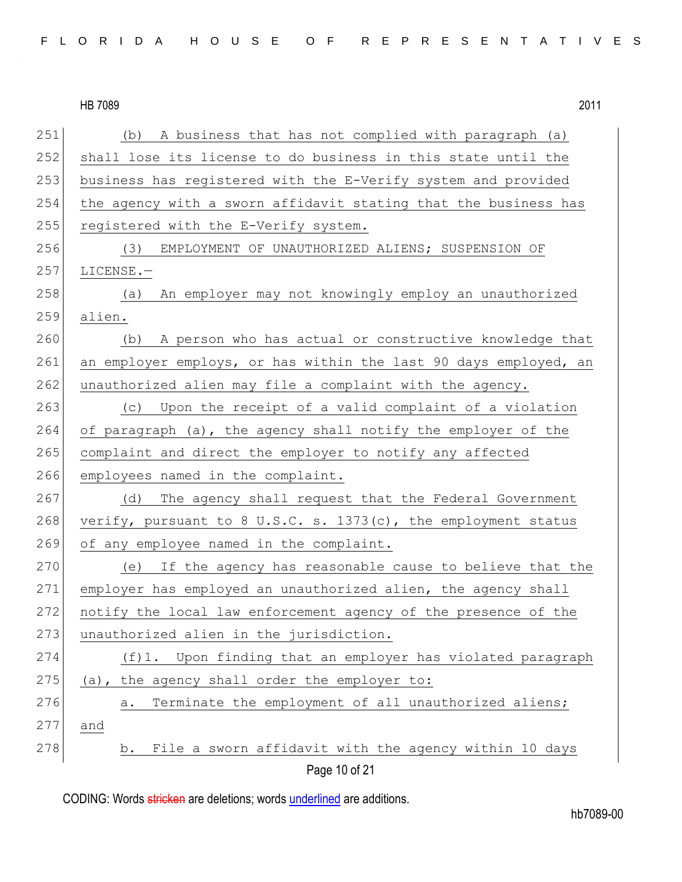| FLORIDA HOUSE OF REPRESENTATIVES |  |
|----------------------------------|--|
|----------------------------------|--|

|     | HB 7089<br>2011                                                   |
|-----|-------------------------------------------------------------------|
| 251 | A business that has not complied with paragraph (a)<br>(b)        |
| 252 | shall lose its license to do business in this state until the     |
| 253 | business has registered with the E-Verify system and provided     |
| 254 | the agency with a sworn affidavit stating that the business has   |
| 255 | registered with the E-Verify system.                              |
| 256 | (3)<br>EMPLOYMENT OF UNAUTHORIZED ALIENS; SUSPENSION OF           |
| 257 | LICENSE.-                                                         |
| 258 | An employer may not knowingly employ an unauthorized<br>(a)       |
| 259 | alien.                                                            |
| 260 | A person who has actual or constructive knowledge that<br>(b)     |
| 261 | an employer employs, or has within the last 90 days employed, an  |
| 262 | unauthorized alien may file a complaint with the agency.          |
| 263 | Upon the receipt of a valid complaint of a violation<br>(C)       |
| 264 | of paragraph (a), the agency shall notify the employer of the     |
| 265 | complaint and direct the employer to notify any affected          |
| 266 | employees named in the complaint.                                 |
| 267 | The agency shall request that the Federal Government<br>(d)       |
| 268 | verify, pursuant to 8 U.S.C. s. $1373(c)$ , the employment status |
| 269 | of any employee named in the complaint.                           |
| 270 | If the agency has reasonable cause to believe that the<br>(e)     |
| 271 | employer has employed an unauthorized alien, the agency shall     |
| 272 | notify the local law enforcement agency of the presence of the    |
| 273 | unauthorized alien in the jurisdiction.                           |
| 274 | (f)1. Upon finding that an employer has violated paragraph        |
| 275 | (a), the agency shall order the employer to:                      |
| 276 | Terminate the employment of all unauthorized aliens;<br>a.        |
| 277 | and                                                               |
| 278 | File a sworn affidavit with the agency within 10 days<br>b.       |
|     | Page 10 of 21                                                     |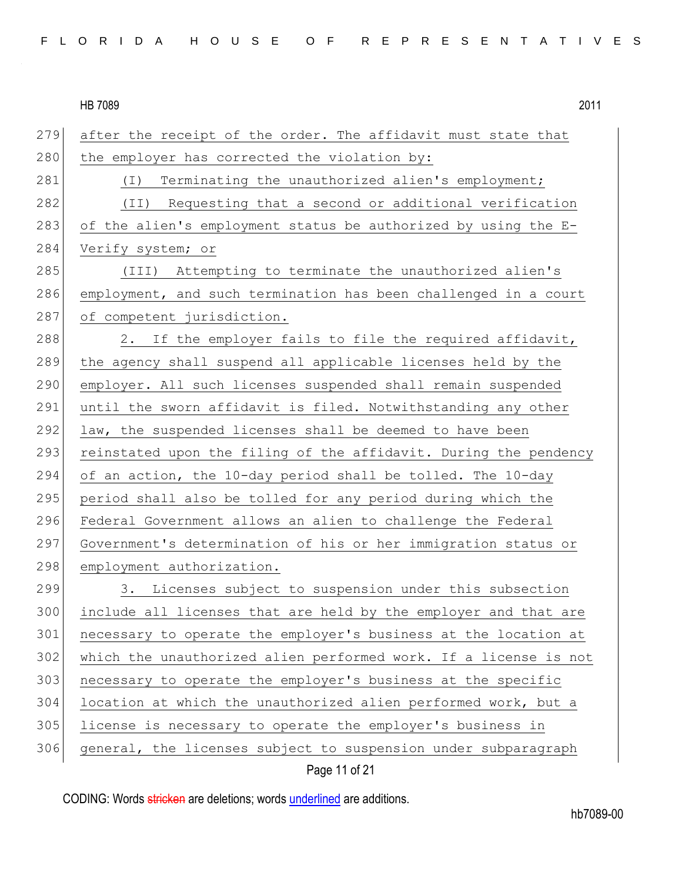279 after the receipt of the order. The affidavit must state that 280 the employer has corrected the violation by: 281 (I) Terminating the unauthorized alien's employment; 282 (II) Requesting that a second or additional verification 283 of the alien's employment status be authorized by using the  $E-$ 284 Verify system; or 285 (III) Attempting to terminate the unauthorized alien's 286 employment, and such termination has been challenged in a court 287 of competent jurisdiction. 288 2. If the employer fails to file the required affidavit, 289 the agency shall suspend all applicable licenses held by the 290 employer. All such licenses suspended shall remain suspended 291 until the sworn affidavit is filed. Notwithstanding any other 292 law, the suspended licenses shall be deemed to have been 293 reinstated upon the filing of the affidavit. During the pendency 294 of an action, the 10-day period shall be tolled. The 10-day 295 period shall also be tolled for any period during which the 296 Federal Government allows an alien to challenge the Federal 297 Government's determination of his or her immigration status or 298 employment authorization. 299 3. Licenses subject to suspension under this subsection 300 include all licenses that are held by the employer and that are 301 necessary to operate the employer's business at the location at 302 which the unauthorized alien performed work. If a license is not 303 necessary to operate the employer's business at the specific 304 location at which the unauthorized alien performed work, but a

305 license is necessary to operate the employer's business in

306 general, the licenses subject to suspension under subparagraph

#### Page 11 of 21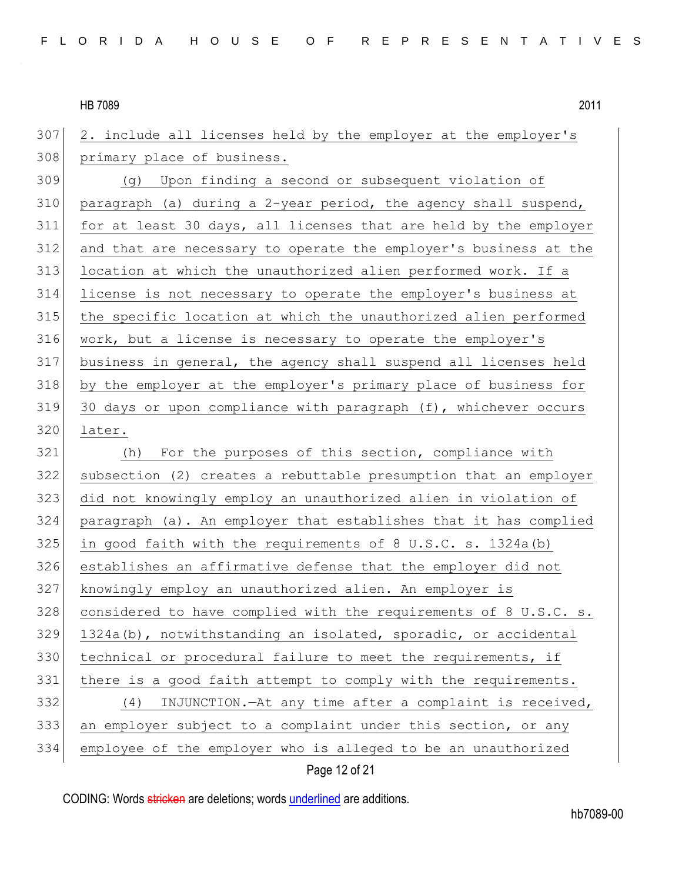2. include all licenses held by the employer at the employer's 308 primary place of business.

309 (g) Upon finding a second or subsequent violation of 310 paragraph (a) during a 2-year period, the agency shall suspend, 311 for at least 30 days, all licenses that are held by the employer and that are necessary to operate the employer's business at the location at which the unauthorized alien performed work. If a license is not necessary to operate the employer's business at the specific location at which the unauthorized alien performed work, but a license is necessary to operate the employer's business in general, the agency shall suspend all licenses held by the employer at the employer's primary place of business for 30 days or upon compliance with paragraph (f), whichever occurs later.

 (h) For the purposes of this section, compliance with subsection (2) creates a rebuttable presumption that an employer did not knowingly employ an unauthorized alien in violation of paragraph (a). An employer that establishes that it has complied 325 in good faith with the requirements of 8 U.S.C. s. 1324a(b) establishes an affirmative defense that the employer did not knowingly employ an unauthorized alien. An employer is considered to have complied with the requirements of 8 U.S.C. s. 1324a(b), notwithstanding an isolated, sporadic, or accidental technical or procedural failure to meet the requirements, if 331 there is a good faith attempt to comply with the requirements. (4) INJUNCTION.—At any time after a complaint is received, an employer subject to a complaint under this section, or any employee of the employer who is alleged to be an unauthorized

#### Page 12 of 21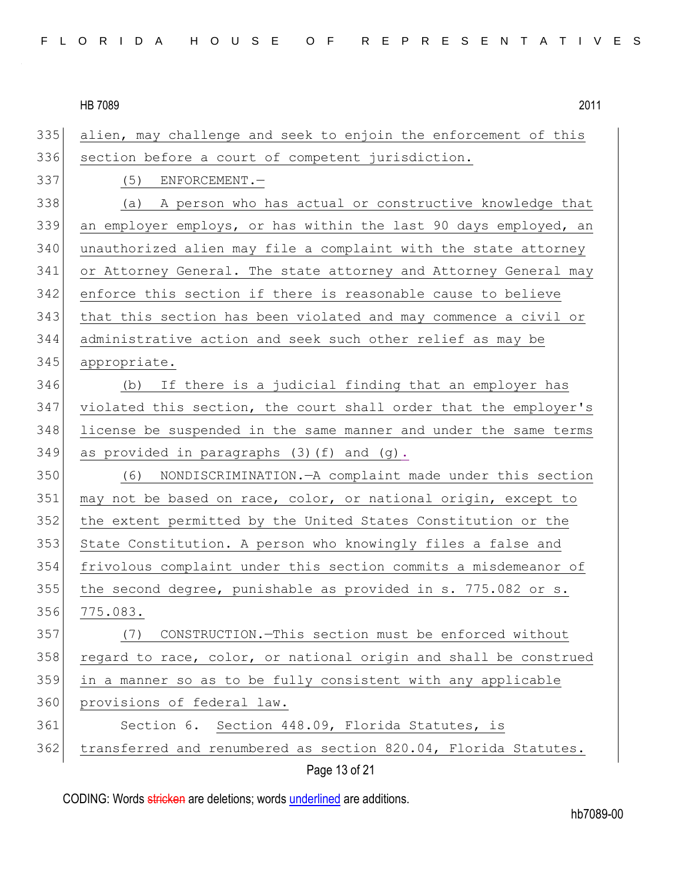335 alien, may challenge and seek to enjoin the enforcement of this 336 section before a court of competent jurisdiction. 337 (5) ENFORCEMENT.— 338 (a) A person who has actual or constructive knowledge that 339 an employer employs, or has within the last 90 days employed, an 340 unauthorized alien may file a complaint with the state attorney 341 or Attorney General. The state attorney and Attorney General may 342 enforce this section if there is reasonable cause to believe 343 that this section has been violated and may commence a civil or 344 administrative action and seek such other relief as may be 345 appropriate. 346 (b) If there is a judicial finding that an employer has 347 violated this section, the court shall order that the employer's 348 license be suspended in the same manner and under the same terms 349 as provided in paragraphs  $(3)$  (f) and  $(q)$ . 350 (6) NONDISCRIMINATION.—A complaint made under this section 351 may not be based on race, color, or national origin, except to 352 the extent permitted by the United States Constitution or the 353 State Constitution. A person who knowingly files a false and 354 frivolous complaint under this section commits a misdemeanor of 355 the second degree, punishable as provided in s. 775.082 or s. 356 775.083. 357 (7) CONSTRUCTION.—This section must be enforced without 358 regard to race, color, or national origin and shall be construed 359 in a manner so as to be fully consistent with any applicable 360 provisions of federal law. 361 Section 6. Section 448.09, Florida Statutes, is 362 transferred and renumbered as section 820.04, Florida Statutes.

Page 13 of 21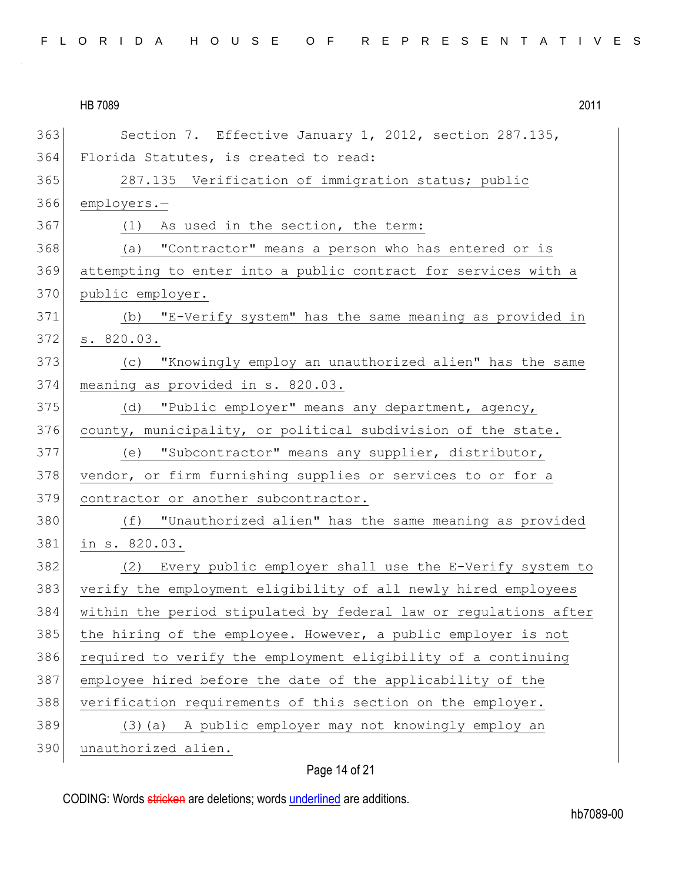| 363 | Section 7. Effective January 1, 2012, section 287.135,           |
|-----|------------------------------------------------------------------|
| 364 | Florida Statutes, is created to read:                            |
| 365 | 287.135 Verification of immigration status; public               |
| 366 | employers.-                                                      |
| 367 | (1) As used in the section, the term:                            |
| 368 | (a) "Contractor" means a person who has entered or is            |
| 369 | attempting to enter into a public contract for services with a   |
| 370 | public employer.                                                 |
| 371 | (b) "E-Verify system" has the same meaning as provided in        |
| 372 | s. 820.03.                                                       |
| 373 | "Knowingly employ an unauthorized alien" has the same<br>(C)     |
| 374 | meaning as provided in s. 820.03.                                |
| 375 | (d) "Public employer" means any department, agency,              |
| 376 | county, municipality, or political subdivision of the state.     |
| 377 | "Subcontractor" means any supplier, distributor,<br>(e)          |
| 378 | vendor, or firm furnishing supplies or services to or for a      |
| 379 | contractor or another subcontractor.                             |
| 380 | "Unauthorized alien" has the same meaning as provided<br>(f)     |
| 381 | in s. 820.03.                                                    |
| 382 | Every public employer shall use the E-Verify system to<br>(2)    |
| 383 | verify the employment eligibility of all newly hired employees   |
| 384 | within the period stipulated by federal law or regulations after |
| 385 | the hiring of the employee. However, a public employer is not    |
| 386 | required to verify the employment eligibility of a continuing    |
| 387 | employee hired before the date of the applicability of the       |
| 388 | verification requirements of this section on the employer.       |
| 389 | (3) (a) A public employer may not knowingly employ an            |
| 390 | unauthorized alien.                                              |

# Page 14 of 21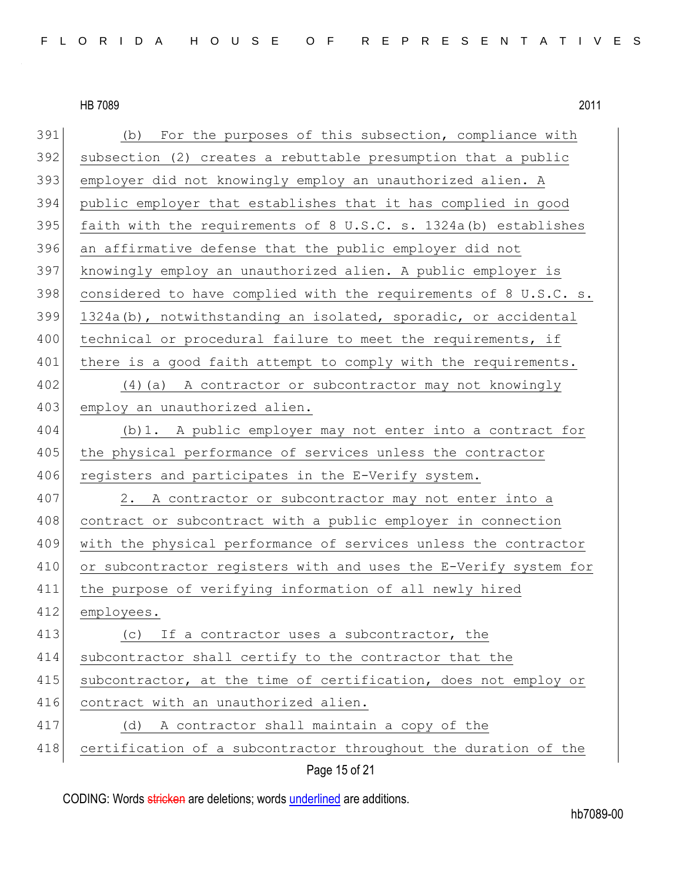| 391 | (b) For the purposes of this subsection, compliance with         |
|-----|------------------------------------------------------------------|
| 392 | subsection (2) creates a rebuttable presumption that a public    |
| 393 | employer did not knowingly employ an unauthorized alien. A       |
| 394 | public employer that establishes that it has complied in good    |
| 395 | faith with the requirements of 8 U.S.C. s. 1324a (b) establishes |
| 396 | an affirmative defense that the public employer did not          |
| 397 | knowingly employ an unauthorized alien. A public employer is     |
| 398 | considered to have complied with the requirements of 8 U.S.C. s. |
| 399 | 1324a(b), notwithstanding an isolated, sporadic, or accidental   |
| 400 | technical or procedural failure to meet the requirements, if     |
| 401 | there is a good faith attempt to comply with the requirements.   |
| 402 | (4) (a) A contractor or subcontractor may not knowingly          |
| 403 | employ an unauthorized alien.                                    |
| 404 | (b) 1. A public employer may not enter into a contract for       |
| 405 | the physical performance of services unless the contractor       |
| 406 | registers and participates in the E-Verify system.               |
| 407 | 2. A contractor or subcontractor may not enter into a            |
| 408 | contract or subcontract with a public employer in connection     |
| 409 | with the physical performance of services unless the contractor  |
| 410 | or subcontractor registers with and uses the E-Verify system for |
| 411 | the purpose of verifying information of all newly hired          |
| 412 | employees.                                                       |
| 413 | If a contractor uses a subcontractor, the<br>(C)                 |
| 414 | subcontractor shall certify to the contractor that the           |
| 415 | subcontractor, at the time of certification, does not employ or  |
| 416 | contract with an unauthorized alien.                             |
| 417 | A contractor shall maintain a copy of the<br>(d)                 |
| 418 | certification of a subcontractor throughout the duration of the  |
|     | Page 15 of 21                                                    |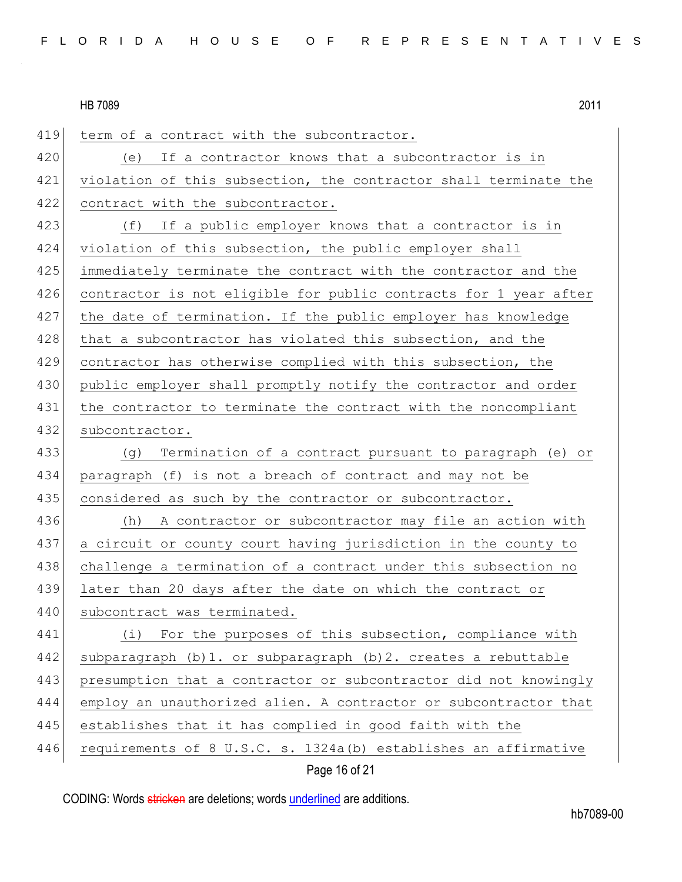| 419 | term of a contract with the subcontractor.                       |
|-----|------------------------------------------------------------------|
| 420 | If a contractor knows that a subcontractor is in<br>(e)          |
| 421 | violation of this subsection, the contractor shall terminate the |
| 422 | contract with the subcontractor.                                 |
| 423 | If a public employer knows that a contractor is in<br>(f)        |
| 424 | violation of this subsection, the public employer shall          |
| 425 | immediately terminate the contract with the contractor and the   |
| 426 | contractor is not eligible for public contracts for 1 year after |
| 427 | the date of termination. If the public employer has knowledge    |
| 428 | that a subcontractor has violated this subsection, and the       |
| 429 | contractor has otherwise complied with this subsection, the      |
| 430 | public employer shall promptly notify the contractor and order   |
| 431 | the contractor to terminate the contract with the noncompliant   |
| 432 | subcontractor.                                                   |
|     |                                                                  |
| 433 | (g)<br>Termination of a contract pursuant to paragraph (e) or    |
| 434 | paragraph (f) is not a breach of contract and may not be         |
| 435 | considered as such by the contractor or subcontractor.           |
| 436 | A contractor or subcontractor may file an action with<br>(h)     |
| 437 | a circuit or county court having jurisdiction in the county to   |
| 438 | challenge a termination of a contract under this subsection no   |
| 439 | later than 20 days after the date on which the contract or       |
| 440 | subcontract was terminated.                                      |
| 441 | (i) For the purposes of this subsection, compliance with         |
| 442 | subparagraph (b) 1. or subparagraph (b) 2. creates a rebuttable  |
| 443 | presumption that a contractor or subcontractor did not knowingly |
| 444 | employ an unauthorized alien. A contractor or subcontractor that |
| 445 | establishes that it has complied in good faith with the          |

# Page 16 of 21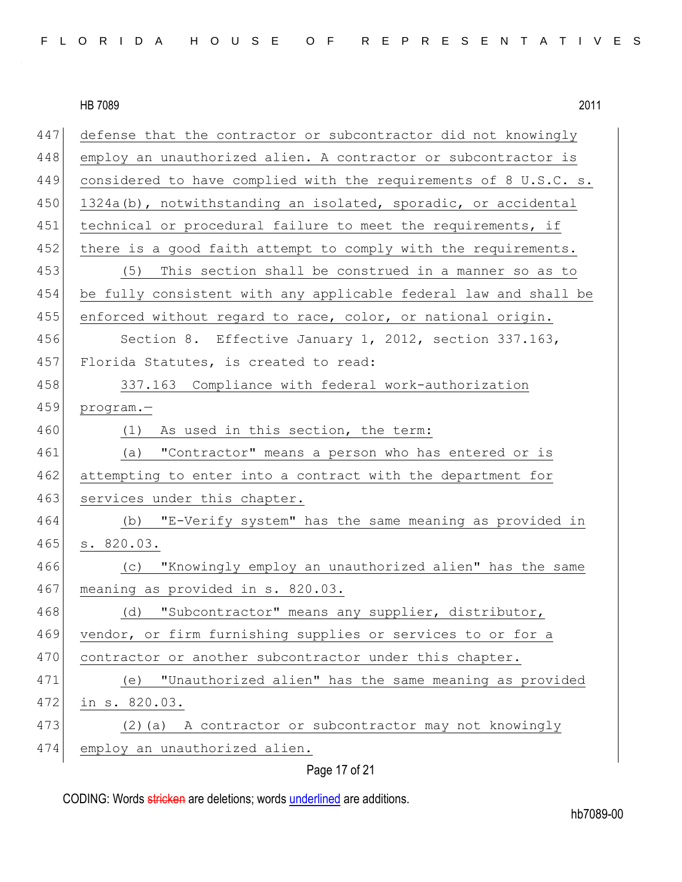447 defense that the contractor or subcontractor did not knowingly 448 employ an unauthorized alien. A contractor or subcontractor is 449 considered to have complied with the requirements of 8 U.S.C. s. 450 1324a(b), notwithstanding an isolated, sporadic, or accidental 451 technical or procedural failure to meet the requirements, if 452 there is a good faith attempt to comply with the requirements. 453 (5) This section shall be construed in a manner so as to 454 be fully consistent with any applicable federal law and shall be 455 enforced without regard to race, color, or national origin. 456 Section 8. Effective January 1, 2012, section 337.163, 457 Florida Statutes, is created to read: 458 337.163 Compliance with federal work-authorization 459 program.— 460 (1) As used in this section, the term: 461 (a) "Contractor" means a person who has entered or is 462 attempting to enter into a contract with the department for 463 services under this chapter. 464 (b) "E-Verify system" has the same meaning as provided in 465 s. 820.03. 466 (c) "Knowingly employ an unauthorized alien" has the same 467 meaning as provided in s. 820.03. 468 (d) "Subcontractor" means any supplier, distributor, 469 vendor, or firm furnishing supplies or services to or for a 470 contractor or another subcontractor under this chapter. 471 (e) "Unauthorized alien" has the same meaning as provided 472 in s. 820.03. 473 (2)(a) A contractor or subcontractor may not knowingly 474 employ an unauthorized alien.

#### Page 17 of 21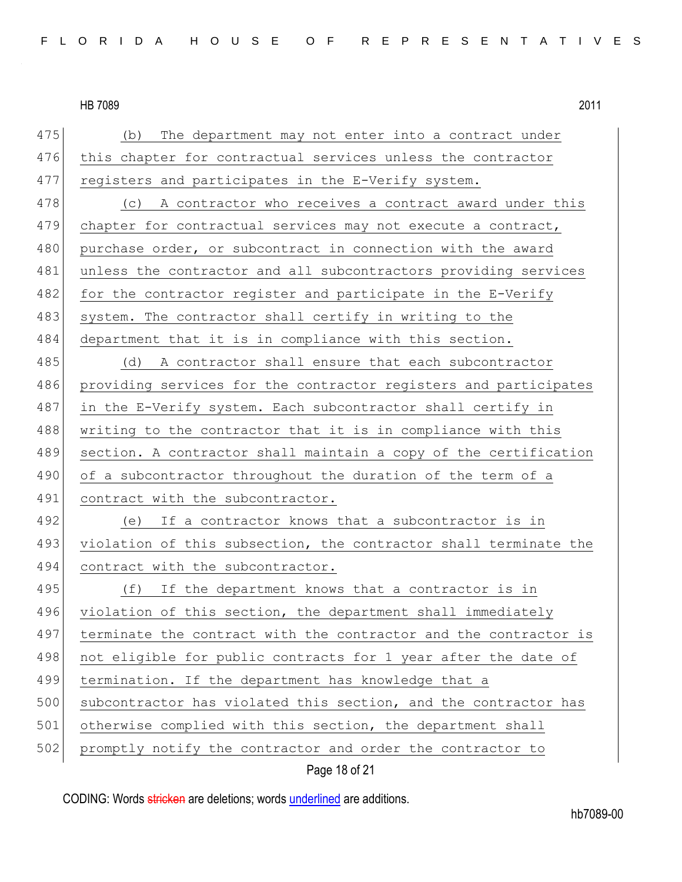475 (b) The department may not enter into a contract under 476 this chapter for contractual services unless the contractor 477 registers and participates in the E-Verify system. 478 (c) A contractor who receives a contract award under this 479 chapter for contractual services may not execute a contract, 480 purchase order, or subcontract in connection with the award 481 unless the contractor and all subcontractors providing services 482 for the contractor register and participate in the E-Verify 483 system. The contractor shall certify in writing to the 484 department that it is in compliance with this section. 485 (d) A contractor shall ensure that each subcontractor 486 providing services for the contractor registers and participates 487 in the E-Verify system. Each subcontractor shall certify in 488 writing to the contractor that it is in compliance with this 489 section. A contractor shall maintain a copy of the certification 490 of a subcontractor throughout the duration of the term of a 491 contract with the subcontractor. 492 (e) If a contractor knows that a subcontractor is in 493 violation of this subsection, the contractor shall terminate the 494 contract with the subcontractor. 495 (f) If the department knows that a contractor is in 496 violation of this section, the department shall immediately 497 terminate the contract with the contractor and the contractor is 498 not eligible for public contracts for 1 year after the date of 499 termination. If the department has knowledge that a 500 subcontractor has violated this section, and the contractor has 501 otherwise complied with this section, the department shall 502 promptly notify the contractor and order the contractor to

Page 18 of 21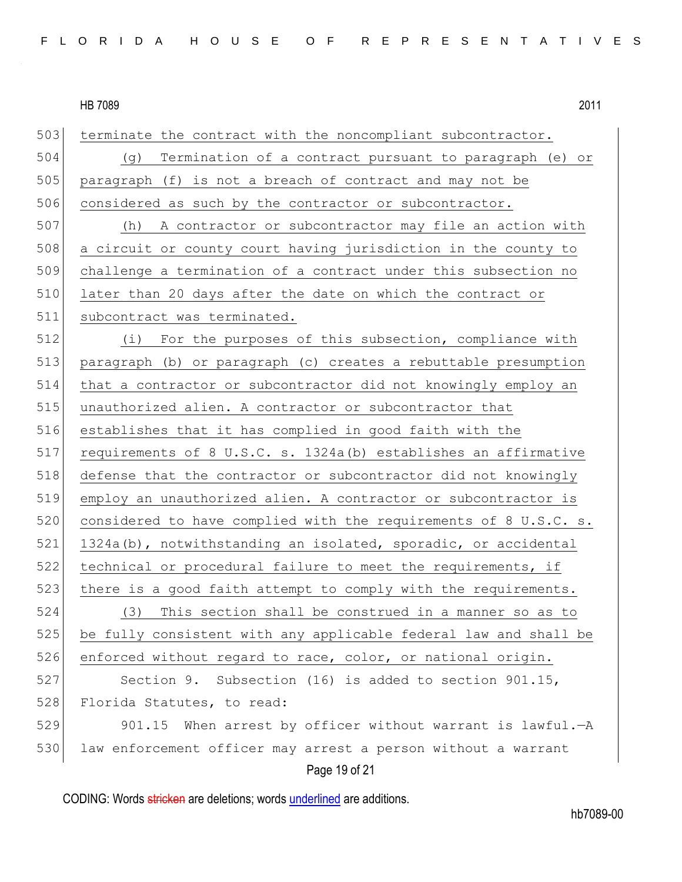503 terminate the contract with the noncompliant subcontractor. 504 (g) Termination of a contract pursuant to paragraph (e) or 505 paragraph (f) is not a breach of contract and may not be 506 considered as such by the contractor or subcontractor. 507 (h) A contractor or subcontractor may file an action with 508 a circuit or county court having jurisdiction in the county to 509 challenge a termination of a contract under this subsection no 510 later than 20 days after the date on which the contract or 511 subcontract was terminated. 512 (i) For the purposes of this subsection, compliance with 513 paragraph (b) or paragraph (c) creates a rebuttable presumption 514 that a contractor or subcontractor did not knowingly employ an 515 unauthorized alien. A contractor or subcontractor that 516 establishes that it has complied in good faith with the 517 requirements of 8 U.S.C. s. 1324a(b) establishes an affirmative 518 defense that the contractor or subcontractor did not knowingly 519 employ an unauthorized alien. A contractor or subcontractor is 520 considered to have complied with the requirements of 8 U.S.C. s. 521 1324a(b), notwithstanding an isolated, sporadic, or accidental 522 technical or procedural failure to meet the requirements, if 523 there is a good faith attempt to comply with the requirements. 524 (3) This section shall be construed in a manner so as to 525 be fully consistent with any applicable federal law and shall be 526 enforced without regard to race, color, or national origin. 527 Section 9. Subsection (16) is added to section 901.15, 528 Florida Statutes, to read: 529 901.15 When arrest by officer without warrant is lawful.—A 530 law enforcement officer may arrest a person without a warrant

Page 19 of 21

CODING: Words stricken are deletions; words underlined are additions.

hb7089-00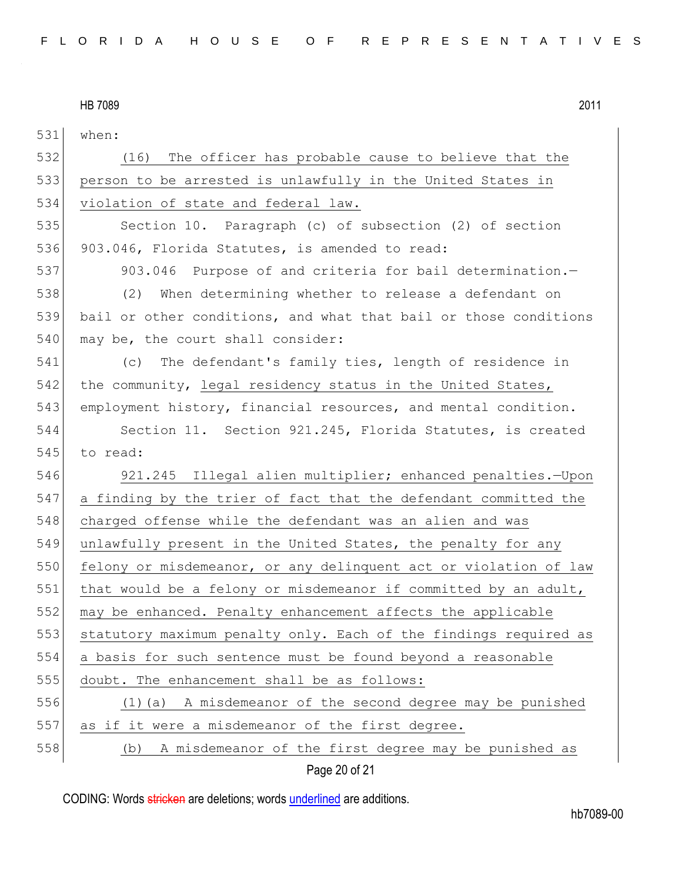| 531 | when:                                                            |
|-----|------------------------------------------------------------------|
| 532 | (16) The officer has probable cause to believe that the          |
| 533 | person to be arrested is unlawfully in the United States in      |
| 534 | violation of state and federal law.                              |
| 535 | Section 10. Paragraph (c) of subsection (2) of section           |
| 536 | 903.046, Florida Statutes, is amended to read:                   |
| 537 | 903.046 Purpose of and criteria for bail determination.-         |
| 538 | (2)<br>When determining whether to release a defendant on        |
| 539 | bail or other conditions, and what that bail or those conditions |
| 540 | may be, the court shall consider:                                |
| 541 | The defendant's family ties, length of residence in<br>(C)       |
| 542 | the community, legal residency status in the United States,      |
| 543 | employment history, financial resources, and mental condition.   |
| 544 | Section 11. Section 921.245, Florida Statutes, is created        |
| 545 | to read:                                                         |
| 546 | 921.245 Illegal alien multiplier; enhanced penalties.-Upon       |
| 547 | a finding by the trier of fact that the defendant committed the  |
| 548 | charged offense while the defendant was an alien and was         |
| 549 | unlawfully present in the United States, the penalty for any     |
| 550 | felony or misdemeanor, or any delinquent act or violation of law |
| 551 | that would be a felony or misdemeanor if committed by an adult,  |
| 552 | may be enhanced. Penalty enhancement affects the applicable      |
| 553 | statutory maximum penalty only. Each of the findings required as |
| 554 | a basis for such sentence must be found beyond a reasonable      |
| 555 | doubt. The enhancement shall be as follows:                      |
| 556 | (1) (a) A misdemeanor of the second degree may be punished       |
| 557 | as if it were a misdemeanor of the first degree.                 |
| 558 | A misdemeanor of the first degree may be punished as<br>(b)      |

Page 20 of 21